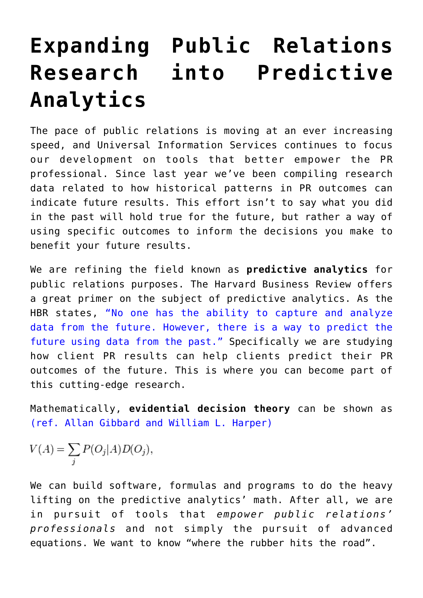## **[Expanding Public Relations](https://www.commpro.biz/expanding-public-relations-research-into-predictive-analytics/) [Research into Predictive](https://www.commpro.biz/expanding-public-relations-research-into-predictive-analytics/) [Analytics](https://www.commpro.biz/expanding-public-relations-research-into-predictive-analytics/)**

The pace of public relations is moving at an ever increasing speed, and Universal Information Services continues to focus our development on tools that better empower the PR professional. Since last year we've been compiling research data related to how historical patterns in PR outcomes can indicate future results. This effort isn't to say what you did in the past will hold true for the future, but rather a way of using specific outcomes to inform the decisions you make to benefit your future results.

We are refining the field known as **predictive analytics** for public relations purposes. The Harvard Business Review offers a great primer on the subject of predictive analytics. As the HBR states, ["No one has the ability to capture and analyze](https://hbr.org/2014/09/a-predictive-analytics-primer) [data from the future. However, there is a way to predict the](https://hbr.org/2014/09/a-predictive-analytics-primer) [future using data from the past."](https://hbr.org/2014/09/a-predictive-analytics-primer) Specifically we are studying how client PR results can help clients predict their PR outcomes of the future. This is where you can become part of this cutting-edge research.

Mathematically, **evidential decision theory** can be shown as [\(ref. Allan Gibbard and William L. Harper\)](https://core.ac.uk/download/files/153/6745909.pdf)

$$
V(A) = \sum_j P(O_j|A)D(O_j),
$$

We can build software, formulas and programs to do the heavy lifting on the predictive analytics' math. After all, we are in pursuit of tools that *empower public relations' professionals* and not simply the pursuit of advanced equations. We want to know "where the rubber hits the road".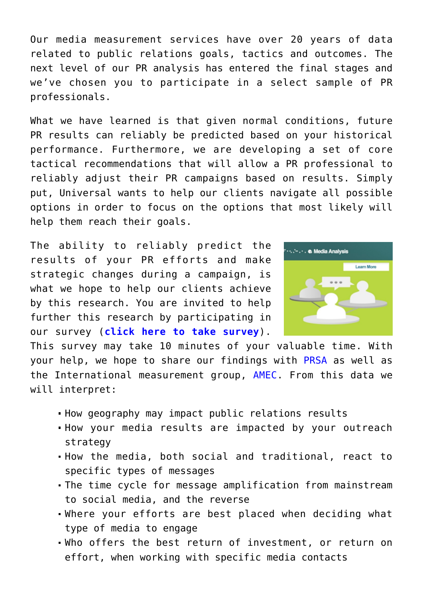Our media measurement services have over 20 years of data related to public relations goals, tactics and outcomes. The next level of our PR analysis has entered the final stages and we've chosen you to participate in a select sample of PR professionals.

What we have learned is that given normal conditions, future PR results can reliably be predicted based on your historical performance. Furthermore, we are developing a set of core tactical recommendations that will allow a PR professional to reliably adjust their PR campaigns based on results. Simply put, Universal wants to help our clients navigate all possible options in order to focus on the options that most likely will help them reach their goals.

The ability to reliably predict the results of your PR efforts and make strategic changes during a campaign, is what we hope to help our clients achieve by this research. You are invited to help further this research by participating in our survey (**[click here to take survey](https://www.surveymonkey.com/r/9QFPLXK)**).



This survey may take 10 minutes of your valuable time. With your help, we hope to share our findings with [PRSA](https://www.prsa.org/Intelligence/Research/index.html#.Vt37KvkrKJA) as well as the International measurement group, [AMEC](https://amecorg.com/). From this data we will interpret:

- How geography may impact public relations results
- How your media results are impacted by your outreach strategy
- How the media, both social and traditional, react to specific types of messages
- The time cycle for message amplification from mainstream to social media, and the reverse
- Where your efforts are best placed when deciding what type of media to engage
- Who offers the best return of investment, or return on effort, when working with specific media contacts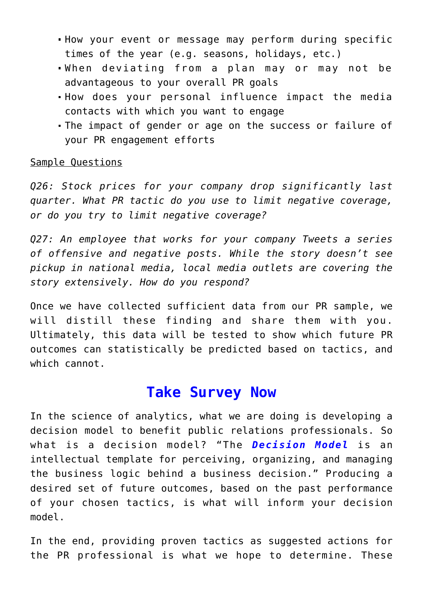- How your event or message may perform during specific times of the year (e.g. seasons, holidays, etc.)
- When deviating from a plan may or may not be advantageous to your overall PR goals
- How does your personal influence impact the media contacts with which you want to engage
- The impact of gender or age on the success or failure of your PR engagement efforts

## Sample Questions

*Q26: Stock prices for your company drop significantly last quarter. What PR tactic do you use to limit negative coverage, or do you try to limit negative coverage?*

*Q27: An employee that works for your company Tweets a series of offensive and negative posts. While the story doesn't see pickup in national media, local media outlets are covering the story extensively. How do you respond?*

Once we have collected sufficient data from our PR sample, we will distill these finding and share them with you. Ultimately, this data will be tested to show which future PR outcomes can statistically be predicted based on tactics, and which cannot.

## **[Take Survey Now](https://www.surveymonkey.com/r/9QFPLXK)**

In the science of analytics, what we are doing is developing a decision model to benefit public relations professionals. So what is a decision model? "The *[Decision Model](https://www.ittoday.info/ITPerformanceImprovement/Articles/2011-03VonHalleGoldberg.html)* [i](https://www.ittoday.info/ITPerformanceImprovement/Articles/2011-03VonHalleGoldberg.html)s an intellectual template for perceiving, organizing, and managing the business logic behind a business decision." Producing a desired set of future outcomes, based on the past performance of your chosen tactics, is what will inform your decision model.

In the end, providing proven tactics as suggested actions for the PR professional is what we hope to determine. These